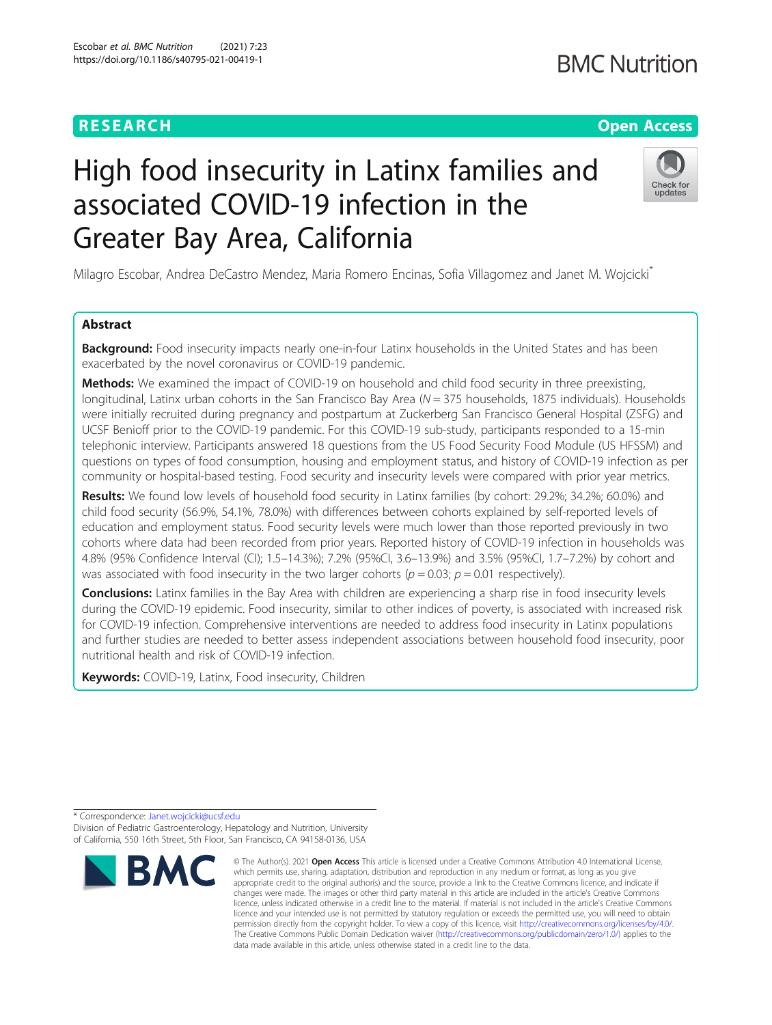# **BMC Nutrition**

# **RESEARCH CHE Open Access**

# High food insecurity in Latinx families and associated COVID-19 infection in the Greater Bay Area, California



Milagro Escobar, Andrea DeCastro Mendez, Maria Romero Encinas, Sofia Villagomez and Janet M. Wojcicki\*

# Abstract

Background: Food insecurity impacts nearly one-in-four Latinx households in the United States and has been exacerbated by the novel coronavirus or COVID-19 pandemic.

**Methods:** We examined the impact of COVID-19 on household and child food security in three preexisting, longitudinal, Latinx urban cohorts in the San Francisco Bay Area ( $N = 375$  households, 1875 individuals). Households were initially recruited during pregnancy and postpartum at Zuckerberg San Francisco General Hospital (ZSFG) and UCSF Benioff prior to the COVID-19 pandemic. For this COVID-19 sub-study, participants responded to a 15-min telephonic interview. Participants answered 18 questions from the US Food Security Food Module (US HFSSM) and questions on types of food consumption, housing and employment status, and history of COVID-19 infection as per community or hospital-based testing. Food security and insecurity levels were compared with prior year metrics.

Results: We found low levels of household food security in Latinx families (by cohort: 29.2%; 34.2%; 60.0%) and child food security (56.9%, 54.1%, 78.0%) with differences between cohorts explained by self-reported levels of education and employment status. Food security levels were much lower than those reported previously in two cohorts where data had been recorded from prior years. Reported history of COVID-19 infection in households was 4.8% (95% Confidence Interval (CI); 1.5–14.3%); 7.2% (95%CI, 3.6–13.9%) and 3.5% (95%CI, 1.7–7.2%) by cohort and was associated with food insecurity in the two larger cohorts ( $p = 0.03$ ;  $p = 0.01$  respectively).

**Conclusions:** Latinx families in the Bay Area with children are experiencing a sharp rise in food insecurity levels during the COVID-19 epidemic. Food insecurity, similar to other indices of poverty, is associated with increased risk for COVID-19 infection. Comprehensive interventions are needed to address food insecurity in Latinx populations and further studies are needed to better assess independent associations between household food insecurity, poor nutritional health and risk of COVID-19 infection.

Keywords: COVID-19, Latinx, Food insecurity, Children

<sup>\*</sup> Correspondence: [Janet.wojcicki@ucsf.edu](mailto:Janet.wojcicki@ucsf.edu) Division of Pediatric Gastroenterology, Hepatology and Nutrition, University of California, 550 16th Street, 5th Floor, San Francisco, CA 94158-0136, USA



<sup>©</sup> The Author(s), 2021 **Open Access** This article is licensed under a Creative Commons Attribution 4.0 International License, which permits use, sharing, adaptation, distribution and reproduction in any medium or format, as long as you give appropriate credit to the original author(s) and the source, provide a link to the Creative Commons licence, and indicate if changes were made. The images or other third party material in this article are included in the article's Creative Commons licence, unless indicated otherwise in a credit line to the material. If material is not included in the article's Creative Commons licence and your intended use is not permitted by statutory regulation or exceeds the permitted use, you will need to obtain permission directly from the copyright holder. To view a copy of this licence, visit [http://creativecommons.org/licenses/by/4.0/.](http://creativecommons.org/licenses/by/4.0/) The Creative Commons Public Domain Dedication waiver [\(http://creativecommons.org/publicdomain/zero/1.0/](http://creativecommons.org/publicdomain/zero/1.0/)) applies to the data made available in this article, unless otherwise stated in a credit line to the data.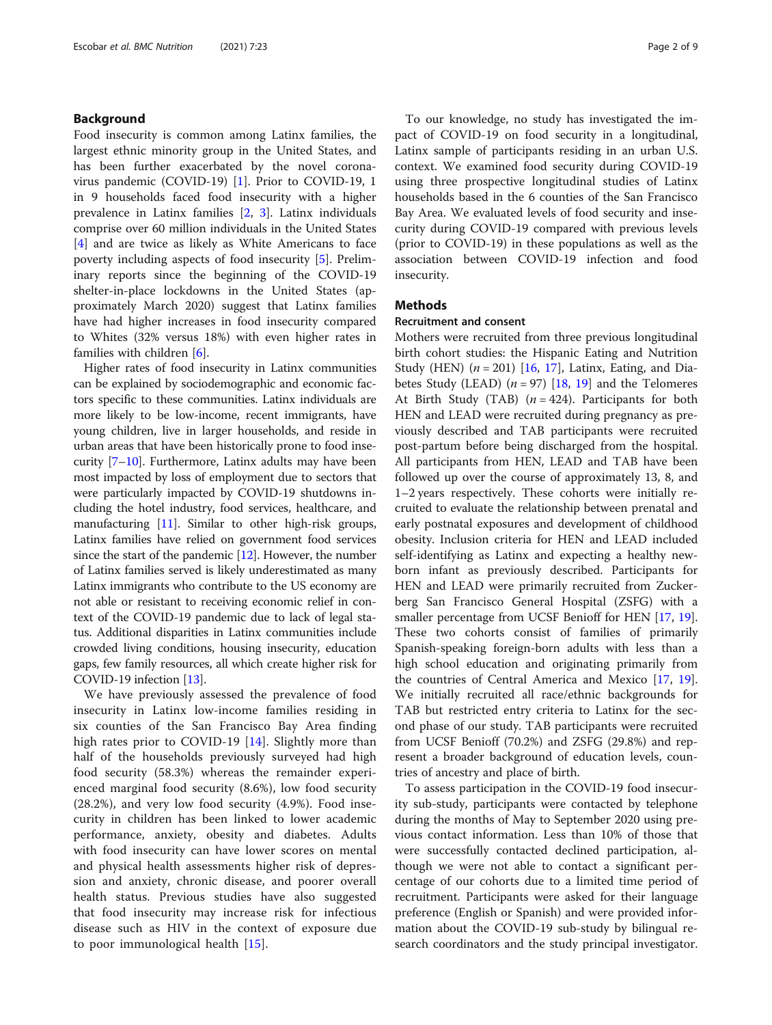# Background

Food insecurity is common among Latinx families, the largest ethnic minority group in the United States, and has been further exacerbated by the novel coronavirus pandemic (COVID-19) [\[1\]](#page-7-0). Prior to COVID-19, 1 in 9 households faced food insecurity with a higher prevalence in Latinx families [\[2](#page-7-0), [3](#page-7-0)]. Latinx individuals comprise over 60 million individuals in the United States [[4\]](#page-7-0) and are twice as likely as White Americans to face poverty including aspects of food insecurity [\[5\]](#page-7-0). Preliminary reports since the beginning of the COVID-19 shelter-in-place lockdowns in the United States (approximately March 2020) suggest that Latinx families have had higher increases in food insecurity compared to Whites (32% versus 18%) with even higher rates in families with children [\[6](#page-7-0)].

Higher rates of food insecurity in Latinx communities can be explained by sociodemographic and economic factors specific to these communities. Latinx individuals are more likely to be low-income, recent immigrants, have young children, live in larger households, and reside in urban areas that have been historically prone to food insecurity [\[7](#page-7-0)–[10\]](#page-7-0). Furthermore, Latinx adults may have been most impacted by loss of employment due to sectors that were particularly impacted by COVID-19 shutdowns including the hotel industry, food services, healthcare, and manufacturing [\[11\]](#page-7-0). Similar to other high-risk groups, Latinx families have relied on government food services since the start of the pandemic  $[12]$  $[12]$  $[12]$ . However, the number of Latinx families served is likely underestimated as many Latinx immigrants who contribute to the US economy are not able or resistant to receiving economic relief in context of the COVID-19 pandemic due to lack of legal status. Additional disparities in Latinx communities include crowded living conditions, housing insecurity, education gaps, few family resources, all which create higher risk for COVID-19 infection [\[13\]](#page-7-0).

We have previously assessed the prevalence of food insecurity in Latinx low-income families residing in six counties of the San Francisco Bay Area finding high rates prior to COVID-19 [\[14](#page-7-0)]. Slightly more than half of the households previously surveyed had high food security (58.3%) whereas the remainder experienced marginal food security (8.6%), low food security (28.2%), and very low food security (4.9%). Food insecurity in children has been linked to lower academic performance, anxiety, obesity and diabetes. Adults with food insecurity can have lower scores on mental and physical health assessments higher risk of depression and anxiety, chronic disease, and poorer overall health status. Previous studies have also suggested that food insecurity may increase risk for infectious disease such as HIV in the context of exposure due to poor immunological health [[15](#page-7-0)].

To our knowledge, no study has investigated the impact of COVID-19 on food security in a longitudinal, Latinx sample of participants residing in an urban U.S. context. We examined food security during COVID-19 using three prospective longitudinal studies of Latinx households based in the 6 counties of the San Francisco Bay Area. We evaluated levels of food security and insecurity during COVID-19 compared with previous levels (prior to COVID-19) in these populations as well as the association between COVID-19 infection and food insecurity.

# Methods

# Recruitment and consent

Mothers were recruited from three previous longitudinal birth cohort studies: the Hispanic Eating and Nutrition Study (HEN)  $(n = 201)$  [[16,](#page-7-0) [17](#page-7-0)], Latinx, Eating, and Diabetes Study (LEAD)  $(n = 97)$  [[18](#page-7-0), [19\]](#page-7-0) and the Telomeres At Birth Study (TAB)  $(n = 424)$ . Participants for both HEN and LEAD were recruited during pregnancy as previously described and TAB participants were recruited post-partum before being discharged from the hospital. All participants from HEN, LEAD and TAB have been followed up over the course of approximately 13, 8, and 1–2 years respectively. These cohorts were initially recruited to evaluate the relationship between prenatal and early postnatal exposures and development of childhood obesity. Inclusion criteria for HEN and LEAD included self-identifying as Latinx and expecting a healthy newborn infant as previously described. Participants for HEN and LEAD were primarily recruited from Zuckerberg San Francisco General Hospital (ZSFG) with a smaller percentage from UCSF Benioff for HEN [\[17](#page-7-0), [19](#page-7-0)]. These two cohorts consist of families of primarily Spanish-speaking foreign-born adults with less than a high school education and originating primarily from the countries of Central America and Mexico [\[17,](#page-7-0) [19](#page-7-0)]. We initially recruited all race/ethnic backgrounds for TAB but restricted entry criteria to Latinx for the second phase of our study. TAB participants were recruited from UCSF Benioff (70.2%) and ZSFG (29.8%) and represent a broader background of education levels, countries of ancestry and place of birth.

To assess participation in the COVID-19 food insecurity sub-study, participants were contacted by telephone during the months of May to September 2020 using previous contact information. Less than 10% of those that were successfully contacted declined participation, although we were not able to contact a significant percentage of our cohorts due to a limited time period of recruitment. Participants were asked for their language preference (English or Spanish) and were provided information about the COVID-19 sub-study by bilingual research coordinators and the study principal investigator.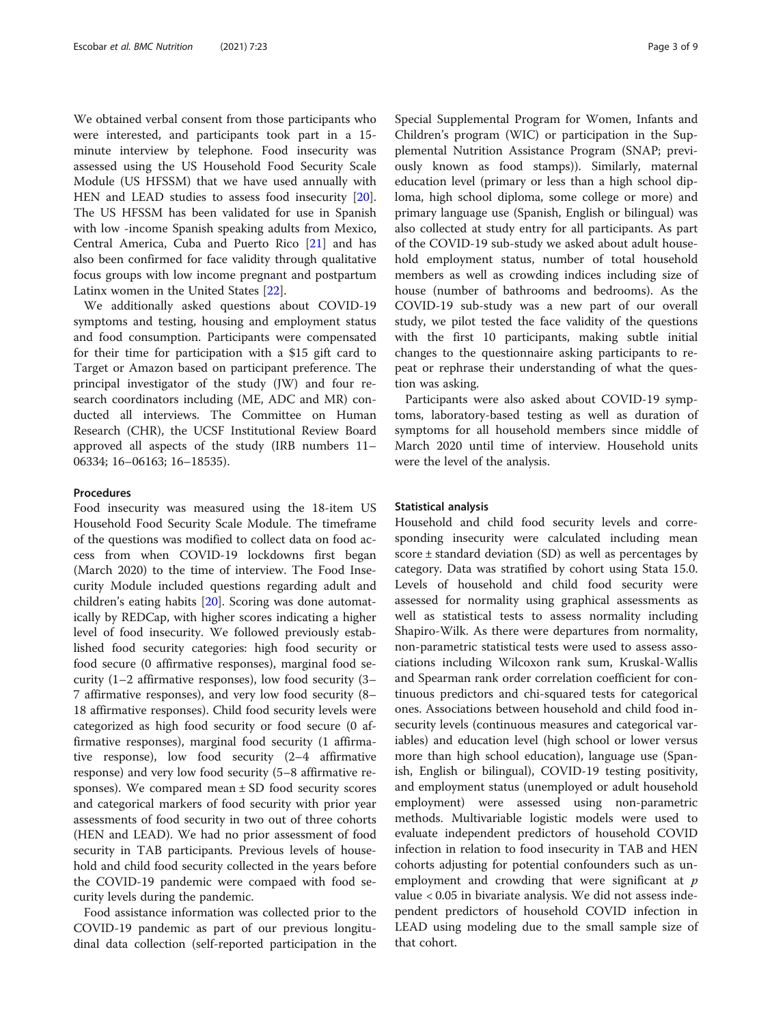We obtained verbal consent from those participants who were interested, and participants took part in a 15 minute interview by telephone. Food insecurity was assessed using the US Household Food Security Scale Module (US HFSSM) that we have used annually with HEN and LEAD studies to assess food insecurity [\[20](#page-7-0)]. The US HFSSM has been validated for use in Spanish with low -income Spanish speaking adults from Mexico, Central America, Cuba and Puerto Rico [[21\]](#page-7-0) and has also been confirmed for face validity through qualitative focus groups with low income pregnant and postpartum Latinx women in the United States [\[22\]](#page-7-0).

We additionally asked questions about COVID-19 symptoms and testing, housing and employment status and food consumption. Participants were compensated for their time for participation with a \$15 gift card to Target or Amazon based on participant preference. The principal investigator of the study (JW) and four research coordinators including (ME, ADC and MR) conducted all interviews. The Committee on Human Research (CHR), the UCSF Institutional Review Board approved all aspects of the study (IRB numbers 11– 06334; 16–06163; 16–18535).

# Procedures

Food insecurity was measured using the 18-item US Household Food Security Scale Module. The timeframe of the questions was modified to collect data on food access from when COVID-19 lockdowns first began (March 2020) to the time of interview. The Food Insecurity Module included questions regarding adult and children's eating habits [\[20](#page-7-0)]. Scoring was done automatically by REDCap, with higher scores indicating a higher level of food insecurity. We followed previously established food security categories: high food security or food secure (0 affirmative responses), marginal food security (1–2 affirmative responses), low food security (3– 7 affirmative responses), and very low food security (8– 18 affirmative responses). Child food security levels were categorized as high food security or food secure (0 affirmative responses), marginal food security (1 affirmative response), low food security (2–4 affirmative response) and very low food security (5–8 affirmative responses). We compared mean  $\pm$  SD food security scores and categorical markers of food security with prior year assessments of food security in two out of three cohorts (HEN and LEAD). We had no prior assessment of food security in TAB participants. Previous levels of household and child food security collected in the years before the COVID-19 pandemic were compaed with food security levels during the pandemic.

Food assistance information was collected prior to the COVID-19 pandemic as part of our previous longitudinal data collection (self-reported participation in the Special Supplemental Program for Women, Infants and Children's program (WIC) or participation in the Supplemental Nutrition Assistance Program (SNAP; previously known as food stamps)). Similarly, maternal education level (primary or less than a high school diploma, high school diploma, some college or more) and primary language use (Spanish, English or bilingual) was also collected at study entry for all participants. As part of the COVID-19 sub-study we asked about adult household employment status, number of total household members as well as crowding indices including size of house (number of bathrooms and bedrooms). As the COVID-19 sub-study was a new part of our overall study, we pilot tested the face validity of the questions with the first 10 participants, making subtle initial changes to the questionnaire asking participants to repeat or rephrase their understanding of what the question was asking.

Participants were also asked about COVID-19 symptoms, laboratory-based testing as well as duration of symptoms for all household members since middle of March 2020 until time of interview. Household units were the level of the analysis.

# Statistical analysis

Household and child food security levels and corresponding insecurity were calculated including mean score  $\pm$  standard deviation (SD) as well as percentages by category. Data was stratified by cohort using Stata 15.0. Levels of household and child food security were assessed for normality using graphical assessments as well as statistical tests to assess normality including Shapiro-Wilk. As there were departures from normality, non-parametric statistical tests were used to assess associations including Wilcoxon rank sum, Kruskal-Wallis and Spearman rank order correlation coefficient for continuous predictors and chi-squared tests for categorical ones. Associations between household and child food insecurity levels (continuous measures and categorical variables) and education level (high school or lower versus more than high school education), language use (Spanish, English or bilingual), COVID-19 testing positivity, and employment status (unemployed or adult household employment) were assessed using non-parametric methods. Multivariable logistic models were used to evaluate independent predictors of household COVID infection in relation to food insecurity in TAB and HEN cohorts adjusting for potential confounders such as unemployment and crowding that were significant at  $p$ value < 0.05 in bivariate analysis. We did not assess independent predictors of household COVID infection in LEAD using modeling due to the small sample size of that cohort.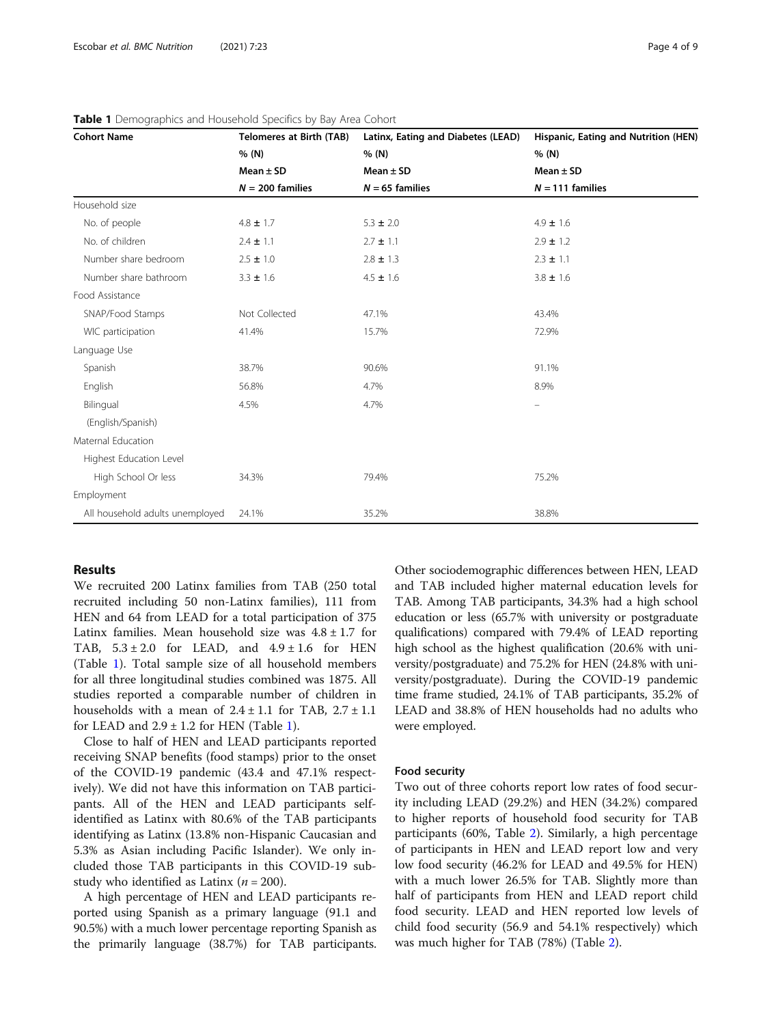| <b>Cohort Name</b>              | <b>Telomeres at Birth (TAB)</b> | Latinx, Eating and Diabetes (LEAD) | Hispanic, Eating and Nutrition (HEN) |
|---------------------------------|---------------------------------|------------------------------------|--------------------------------------|
|                                 | % (N)                           | % (N)                              | % (N)                                |
|                                 | Mean $\pm$ SD                   | Mean $\pm$ SD                      | Mean $\pm$ SD                        |
|                                 | $N = 200$ families              | $N = 65$ families                  | $N = 111$ families                   |
| Household size                  |                                 |                                    |                                      |
| No. of people                   | $4.8 \pm 1.7$                   | $5.3 \pm 2.0$                      | $4.9 \pm 1.6$                        |
| No. of children                 | $2.4 \pm 1.1$                   | $2.7 \pm 1.1$                      | $2.9 \pm 1.2$                        |
| Number share bedroom            | $2.5 \pm 1.0$                   | $2.8 \pm 1.3$                      | $2.3 \pm 1.1$                        |
| Number share bathroom           | $3.3 \pm 1.6$                   | $4.5 \pm 1.6$                      | $3.8 \pm 1.6$                        |
| Food Assistance                 |                                 |                                    |                                      |
| SNAP/Food Stamps                | Not Collected                   | 47.1%                              | 43.4%                                |
| WIC participation               | 41.4%                           | 15.7%                              | 72.9%                                |
| Language Use                    |                                 |                                    |                                      |
| Spanish                         | 38.7%                           | 90.6%                              | 91.1%                                |
| English                         | 56.8%                           | 4.7%                               | 8.9%                                 |
| Bilingual                       | 4.5%                            | 4.7%                               | $\qquad \qquad -$                    |
| (English/Spanish)               |                                 |                                    |                                      |
| Maternal Education              |                                 |                                    |                                      |
| Highest Education Level         |                                 |                                    |                                      |
| High School Or less             | 34.3%                           | 79.4%                              | 75.2%                                |
| Employment                      |                                 |                                    |                                      |
| All household adults unemployed | 24.1%                           | 35.2%                              | 38.8%                                |

Table 1 Demographics and Household Specifics by Bay Area Cohort

# Results

We recruited 200 Latinx families from TAB (250 total recruited including 50 non-Latinx families), 111 from HEN and 64 from LEAD for a total participation of 375 Latinx families. Mean household size was  $4.8 \pm 1.7$  for TAB,  $5.3 \pm 2.0$  for LEAD, and  $4.9 \pm 1.6$  for HEN (Table 1). Total sample size of all household members for all three longitudinal studies combined was 1875. All studies reported a comparable number of children in households with a mean of  $2.4 \pm 1.1$  for TAB,  $2.7 \pm 1.1$ for LEAD and  $2.9 \pm 1.2$  for HEN (Table 1).

Close to half of HEN and LEAD participants reported receiving SNAP benefits (food stamps) prior to the onset of the COVID-19 pandemic (43.4 and 47.1% respectively). We did not have this information on TAB participants. All of the HEN and LEAD participants selfidentified as Latinx with 80.6% of the TAB participants identifying as Latinx (13.8% non-Hispanic Caucasian and 5.3% as Asian including Pacific Islander). We only included those TAB participants in this COVID-19 substudy who identified as Latinx ( $n = 200$ ).

A high percentage of HEN and LEAD participants reported using Spanish as a primary language (91.1 and 90.5%) with a much lower percentage reporting Spanish as the primarily language (38.7%) for TAB participants. Other sociodemographic differences between HEN, LEAD and TAB included higher maternal education levels for TAB. Among TAB participants, 34.3% had a high school education or less (65.7% with university or postgraduate qualifications) compared with 79.4% of LEAD reporting high school as the highest qualification (20.6% with university/postgraduate) and 75.2% for HEN (24.8% with university/postgraduate). During the COVID-19 pandemic time frame studied, 24.1% of TAB participants, 35.2% of LEAD and 38.8% of HEN households had no adults who were employed.

# Food security

Two out of three cohorts report low rates of food security including LEAD (29.2%) and HEN (34.2%) compared to higher reports of household food security for TAB participants (60%, Table [2\)](#page-4-0). Similarly, a high percentage of participants in HEN and LEAD report low and very low food security (46.2% for LEAD and 49.5% for HEN) with a much lower 26.5% for TAB. Slightly more than half of participants from HEN and LEAD report child food security. LEAD and HEN reported low levels of child food security (56.9 and 54.1% respectively) which was much higher for TAB (78%) (Table [2\)](#page-4-0).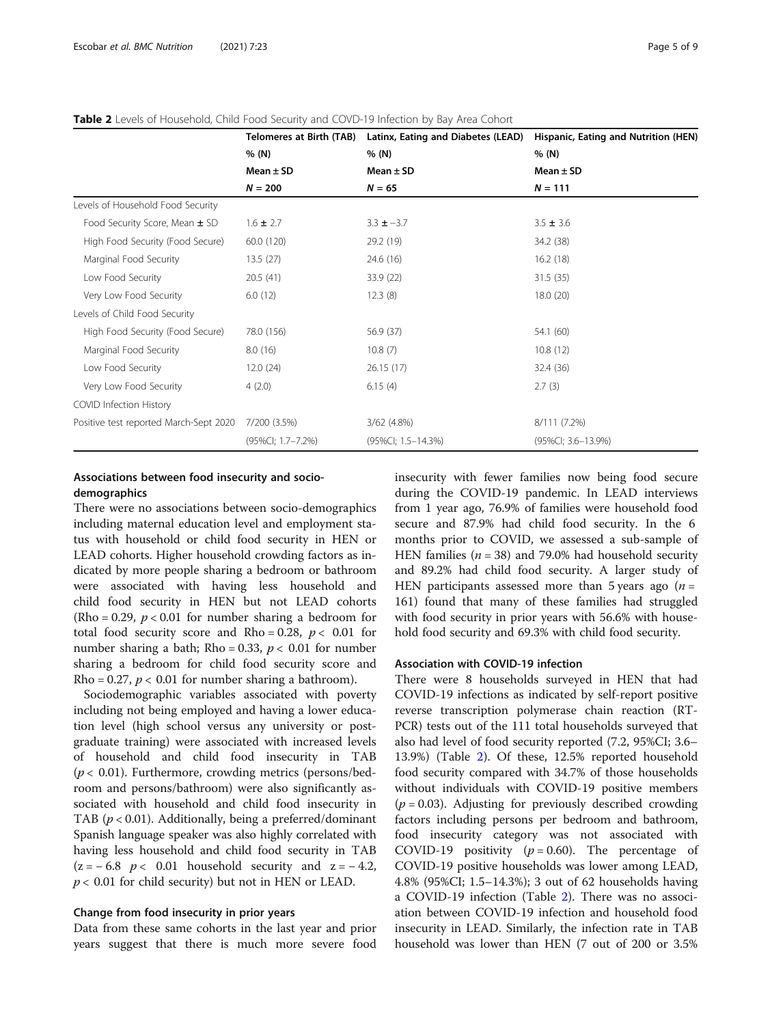|                                        | <b>Telomeres at Birth (TAB)</b><br>% (N)<br>Mean $\pm$ SD<br>$N = 200$ | Latinx, Eating and Diabetes (LEAD)<br>% (N)<br>Mean $\pm$ SD<br>$N = 65$ | Hispanic, Eating and Nutrition (HEN)<br>% (N)<br>Mean $\pm$ SD<br>$N = 111$ |
|----------------------------------------|------------------------------------------------------------------------|--------------------------------------------------------------------------|-----------------------------------------------------------------------------|
|                                        |                                                                        |                                                                          |                                                                             |
|                                        |                                                                        |                                                                          |                                                                             |
|                                        |                                                                        |                                                                          |                                                                             |
| Levels of Household Food Security      |                                                                        |                                                                          |                                                                             |
| Food Security Score, Mean ± SD         | $1.6 \pm 2.7$                                                          | $3.3 \pm -3.7$                                                           | $3.5 \pm 3.6$                                                               |
| High Food Security (Food Secure)       | 60.0 (120)                                                             | 29.2 (19)                                                                | 34.2 (38)                                                                   |
| Marginal Food Security                 | 13.5(27)                                                               | 24.6 (16)                                                                | 16.2(18)                                                                    |
| Low Food Security                      | 20.5(41)                                                               | 33.9 (22)                                                                | 31.5(35)                                                                    |
| Very Low Food Security                 | 6.0(12)                                                                | 12.3(8)                                                                  | 18.0(20)                                                                    |
| Levels of Child Food Security          |                                                                        |                                                                          |                                                                             |
| High Food Security (Food Secure)       | 78.0 (156)                                                             | 56.9 (37)                                                                | 54.1 (60)                                                                   |
| Marginal Food Security                 | 8.0(16)                                                                | 10.8(7)                                                                  | 10.8(12)                                                                    |
| Low Food Security                      | 12.0(24)                                                               | 26.15(17)                                                                | 32.4 (36)                                                                   |
| Very Low Food Security                 | 4(2.0)                                                                 | 6.15(4)                                                                  | 2.7(3)                                                                      |
| COVID Infection History                |                                                                        |                                                                          |                                                                             |
| Positive test reported March-Sept 2020 | 7/200 (3.5%)                                                           | $3/62$ (4.8%)                                                            | 8/111 (7.2%)                                                                |
|                                        | (95%Cl; 1.7-7.2%)                                                      | (95%Cl; 1.5-14.3%)                                                       | (95%CI; 3.6-13.9%)                                                          |

# <span id="page-4-0"></span>Table 2 Levels of Household, Child Food Security and COVD-19 Infection by Bay Area Cohort

# Associations between food insecurity and sociodemographics

There were no associations between socio-demographics including maternal education level and employment status with household or child food security in HEN or LEAD cohorts. Higher household crowding factors as indicated by more people sharing a bedroom or bathroom were associated with having less household and child food security in HEN but not LEAD cohorts  $(Rho = 0.29, p < 0.01$  for number sharing a bedroom for total food security score and Rho = 0.28,  $p < 0.01$  for number sharing a bath; Rho = 0.33,  $p < 0.01$  for number sharing a bedroom for child food security score and Rho = 0.27,  $p < 0.01$  for number sharing a bathroom).

Sociodemographic variables associated with poverty including not being employed and having a lower education level (high school versus any university or postgraduate training) were associated with increased levels of household and child food insecurity in TAB  $(p < 0.01)$ . Furthermore, crowding metrics (persons/bedroom and persons/bathroom) were also significantly associated with household and child food insecurity in TAB ( $p < 0.01$ ). Additionally, being a preferred/dominant Spanish language speaker was also highly correlated with having less household and child food security in TAB  $(z = -6.8 \, p < 0.01$  household security and  $z = -4.2$ ,  $p < 0.01$  for child security) but not in HEN or LEAD.

## Change from food insecurity in prior years

Data from these same cohorts in the last year and prior years suggest that there is much more severe food insecurity with fewer families now being food secure during the COVID-19 pandemic. In LEAD interviews from 1 year ago, 76.9% of families were household food secure and 87.9% had child food security. In the 6 months prior to COVID, we assessed a sub-sample of HEN families ( $n = 38$ ) and 79.0% had household security and 89.2% had child food security. A larger study of HEN participants assessed more than 5 years ago  $(n =$ 161) found that many of these families had struggled with food security in prior years with 56.6% with household food security and 69.3% with child food security.

# Association with COVID-19 infection

There were 8 households surveyed in HEN that had COVID-19 infections as indicated by self-report positive reverse transcription polymerase chain reaction (RT-PCR) tests out of the 111 total households surveyed that also had level of food security reported (7.2, 95%CI; 3.6– 13.9%) (Table 2). Of these, 12.5% reported household food security compared with 34.7% of those households without individuals with COVID-19 positive members  $(p = 0.03)$ . Adjusting for previously described crowding factors including persons per bedroom and bathroom, food insecurity category was not associated with COVID-19 positivity ( $p = 0.60$ ). The percentage of COVID-19 positive households was lower among LEAD, 4.8% (95%CI; 1.5–14.3%); 3 out of 62 households having a COVID-19 infection (Table 2). There was no association between COVID-19 infection and household food insecurity in LEAD. Similarly, the infection rate in TAB household was lower than HEN (7 out of 200 or 3.5%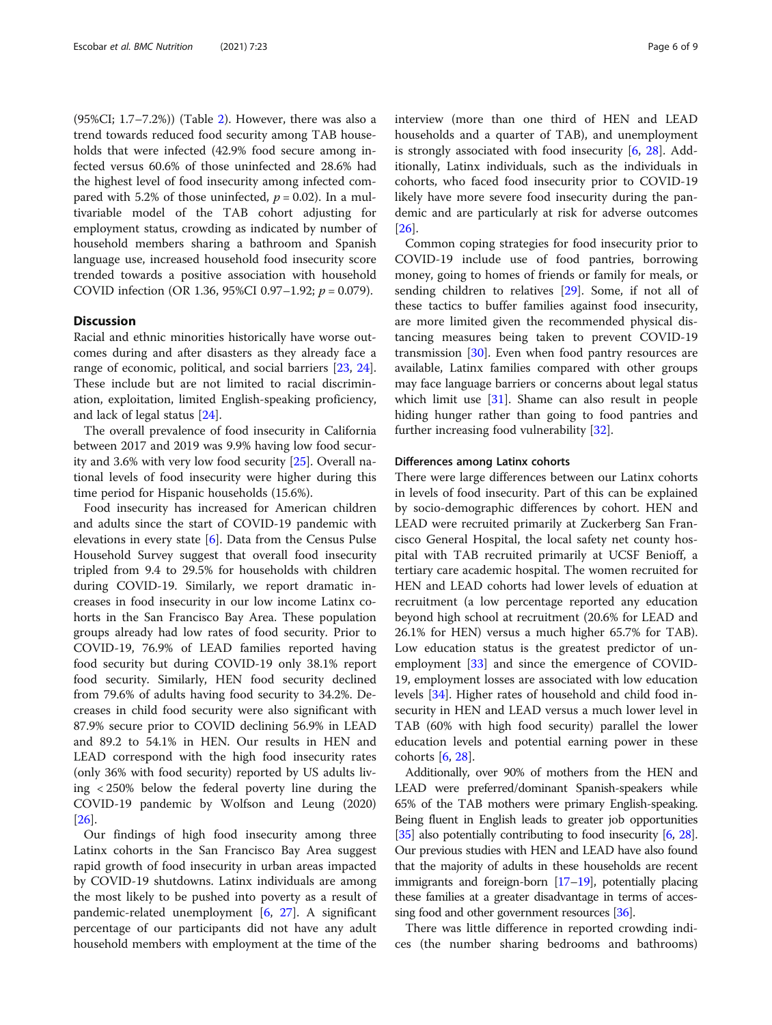(95%CI; 1.7–7.2%)) (Table [2](#page-4-0)). However, there was also a trend towards reduced food security among TAB households that were infected (42.9% food secure among infected versus 60.6% of those uninfected and 28.6% had the highest level of food insecurity among infected compared with 5.2% of those uninfected,  $p = 0.02$ ). In a multivariable model of the TAB cohort adjusting for employment status, crowding as indicated by number of household members sharing a bathroom and Spanish language use, increased household food insecurity score trended towards a positive association with household COVID infection (OR 1.36, 95%CI 0.97–1.92;  $p = 0.079$ ).

# **Discussion**

Racial and ethnic minorities historically have worse outcomes during and after disasters as they already face a range of economic, political, and social barriers [[23,](#page-7-0) [24](#page-7-0)]. These include but are not limited to racial discrimination, exploitation, limited English-speaking proficiency, and lack of legal status [\[24\]](#page-7-0).

The overall prevalence of food insecurity in California between 2017 and 2019 was 9.9% having low food security and 3.6% with very low food security [\[25](#page-7-0)]. Overall national levels of food insecurity were higher during this time period for Hispanic households (15.6%).

Food insecurity has increased for American children and adults since the start of COVID-19 pandemic with elevations in every state [\[6](#page-7-0)]. Data from the Census Pulse Household Survey suggest that overall food insecurity tripled from 9.4 to 29.5% for households with children during COVID-19. Similarly, we report dramatic increases in food insecurity in our low income Latinx cohorts in the San Francisco Bay Area. These population groups already had low rates of food security. Prior to COVID-19, 76.9% of LEAD families reported having food security but during COVID-19 only 38.1% report food security. Similarly, HEN food security declined from 79.6% of adults having food security to 34.2%. Decreases in child food security were also significant with 87.9% secure prior to COVID declining 56.9% in LEAD and 89.2 to 54.1% in HEN. Our results in HEN and LEAD correspond with the high food insecurity rates (only 36% with food security) reported by US adults living < 250% below the federal poverty line during the COVID-19 pandemic by Wolfson and Leung (2020) [[26\]](#page-7-0).

Our findings of high food insecurity among three Latinx cohorts in the San Francisco Bay Area suggest rapid growth of food insecurity in urban areas impacted by COVID-19 shutdowns. Latinx individuals are among the most likely to be pushed into poverty as a result of pandemic-related unemployment [[6](#page-7-0), [27\]](#page-7-0). A significant percentage of our participants did not have any adult household members with employment at the time of the interview (more than one third of HEN and LEAD households and a quarter of TAB), and unemployment is strongly associated with food insecurity [[6](#page-7-0), [28](#page-7-0)]. Additionally, Latinx individuals, such as the individuals in cohorts, who faced food insecurity prior to COVID-19 likely have more severe food insecurity during the pandemic and are particularly at risk for adverse outcomes [[26\]](#page-7-0).

Common coping strategies for food insecurity prior to COVID-19 include use of food pantries, borrowing money, going to homes of friends or family for meals, or sending children to relatives [[29](#page-7-0)]. Some, if not all of these tactics to buffer families against food insecurity, are more limited given the recommended physical distancing measures being taken to prevent COVID-19 transmission [[30](#page-7-0)]. Even when food pantry resources are available, Latinx families compared with other groups may face language barriers or concerns about legal status which limit use [\[31](#page-7-0)]. Shame can also result in people hiding hunger rather than going to food pantries and further increasing food vulnerability [\[32](#page-7-0)].

# Differences among Latinx cohorts

There were large differences between our Latinx cohorts in levels of food insecurity. Part of this can be explained by socio-demographic differences by cohort. HEN and LEAD were recruited primarily at Zuckerberg San Francisco General Hospital, the local safety net county hospital with TAB recruited primarily at UCSF Benioff, a tertiary care academic hospital. The women recruited for HEN and LEAD cohorts had lower levels of eduation at recruitment (a low percentage reported any education beyond high school at recruitment (20.6% for LEAD and 26.1% for HEN) versus a much higher 65.7% for TAB). Low education status is the greatest predictor of unemployment [\[33](#page-7-0)] and since the emergence of COVID-19, employment losses are associated with low education levels [\[34](#page-8-0)]. Higher rates of household and child food insecurity in HEN and LEAD versus a much lower level in TAB (60% with high food security) parallel the lower education levels and potential earning power in these cohorts [\[6](#page-7-0), [28](#page-7-0)].

Additionally, over 90% of mothers from the HEN and LEAD were preferred/dominant Spanish-speakers while 65% of the TAB mothers were primary English-speaking. Being fluent in English leads to greater job opportunities [[35](#page-8-0)] also potentially contributing to food insecurity [\[6,](#page-7-0) [28](#page-7-0)]. Our previous studies with HEN and LEAD have also found that the majority of adults in these households are recent immigrants and foreign-born [[17](#page-7-0)–[19](#page-7-0)], potentially placing these families at a greater disadvantage in terms of accessing food and other government resources [\[36](#page-8-0)].

There was little difference in reported crowding indices (the number sharing bedrooms and bathrooms)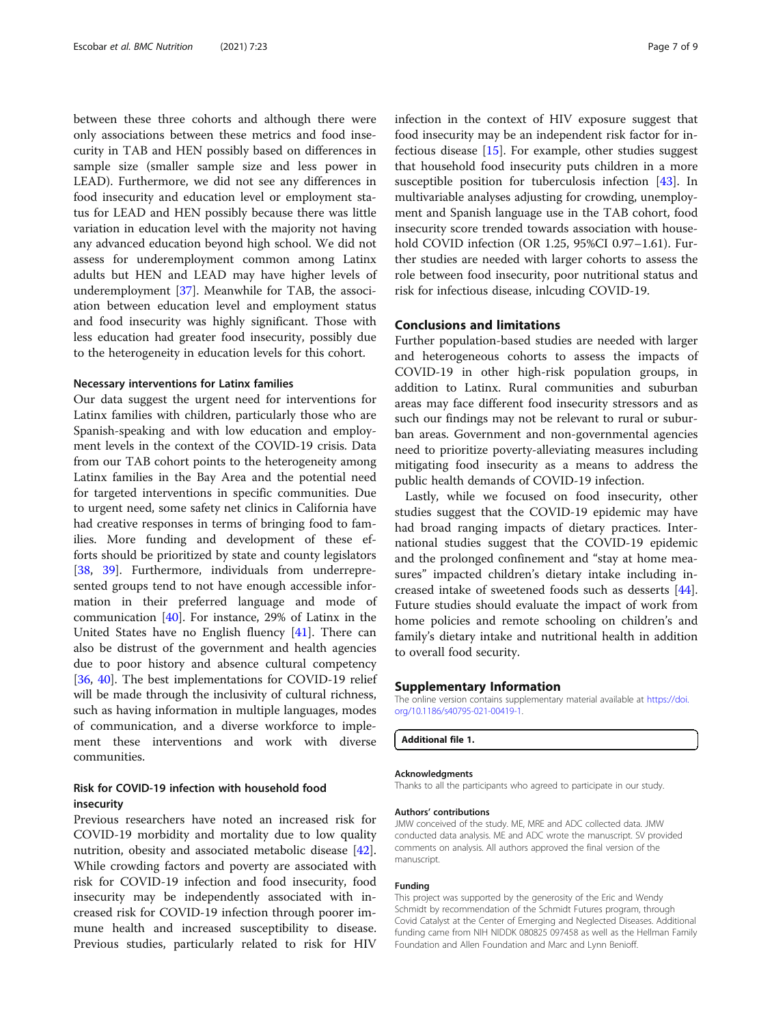between these three cohorts and although there were only associations between these metrics and food insecurity in TAB and HEN possibly based on differences in sample size (smaller sample size and less power in LEAD). Furthermore, we did not see any differences in food insecurity and education level or employment status for LEAD and HEN possibly because there was little variation in education level with the majority not having any advanced education beyond high school. We did not assess for underemployment common among Latinx adults but HEN and LEAD may have higher levels of underemployment [[37](#page-8-0)]. Meanwhile for TAB, the association between education level and employment status and food insecurity was highly significant. Those with less education had greater food insecurity, possibly due to the heterogeneity in education levels for this cohort.

# Necessary interventions for Latinx families

Our data suggest the urgent need for interventions for Latinx families with children, particularly those who are Spanish-speaking and with low education and employment levels in the context of the COVID-19 crisis. Data from our TAB cohort points to the heterogeneity among Latinx families in the Bay Area and the potential need for targeted interventions in specific communities. Due to urgent need, some safety net clinics in California have had creative responses in terms of bringing food to families. More funding and development of these efforts should be prioritized by state and county legislators [[38,](#page-8-0) [39\]](#page-8-0). Furthermore, individuals from underrepresented groups tend to not have enough accessible information in their preferred language and mode of communication [[40\]](#page-8-0). For instance, 29% of Latinx in the United States have no English fluency [[41](#page-8-0)]. There can also be distrust of the government and health agencies due to poor history and absence cultural competency [[36,](#page-8-0) [40](#page-8-0)]. The best implementations for COVID-19 relief will be made through the inclusivity of cultural richness, such as having information in multiple languages, modes of communication, and a diverse workforce to implement these interventions and work with diverse communities.

# Risk for COVID-19 infection with household food insecurity

Previous researchers have noted an increased risk for COVID-19 morbidity and mortality due to low quality nutrition, obesity and associated metabolic disease [\[42](#page-8-0)]. While crowding factors and poverty are associated with risk for COVID-19 infection and food insecurity, food insecurity may be independently associated with increased risk for COVID-19 infection through poorer immune health and increased susceptibility to disease. Previous studies, particularly related to risk for HIV infection in the context of HIV exposure suggest that food insecurity may be an independent risk factor for infectious disease [\[15](#page-7-0)]. For example, other studies suggest that household food insecurity puts children in a more susceptible position for tuberculosis infection [\[43](#page-8-0)]. In multivariable analyses adjusting for crowding, unemployment and Spanish language use in the TAB cohort, food insecurity score trended towards association with household COVID infection (OR 1.25, 95%CI 0.97–1.61). Further studies are needed with larger cohorts to assess the role between food insecurity, poor nutritional status and risk for infectious disease, inlcuding COVID-19.

# Conclusions and limitations

Further population-based studies are needed with larger and heterogeneous cohorts to assess the impacts of COVID-19 in other high-risk population groups, in addition to Latinx. Rural communities and suburban areas may face different food insecurity stressors and as such our findings may not be relevant to rural or suburban areas. Government and non-governmental agencies need to prioritize poverty-alleviating measures including mitigating food insecurity as a means to address the public health demands of COVID-19 infection.

Lastly, while we focused on food insecurity, other studies suggest that the COVID-19 epidemic may have had broad ranging impacts of dietary practices. International studies suggest that the COVID-19 epidemic and the prolonged confinement and "stay at home measures" impacted children's dietary intake including increased intake of sweetened foods such as desserts [\[44](#page-8-0)]. Future studies should evaluate the impact of work from home policies and remote schooling on children's and family's dietary intake and nutritional health in addition to overall food security.

# Supplementary Information

The online version contains supplementary material available at [https://doi.](https://doi.org/10.1186/s40795-021-00419-1) [org/10.1186/s40795-021-00419-1.](https://doi.org/10.1186/s40795-021-00419-1)

Additional file 1.

## Acknowledgments

Thanks to all the participants who agreed to participate in our study.

# Authors' contributions

JMW conceived of the study. ME, MRE and ADC collected data. JMW conducted data analysis. ME and ADC wrote the manuscript. SV provided comments on analysis. All authors approved the final version of the manuscript.

#### Funding

This project was supported by the generosity of the Eric and Wendy Schmidt by recommendation of the Schmidt Futures program, through Covid Catalyst at the Center of Emerging and Neglected Diseases. Additional funding came from NIH NIDDK 080825 097458 as well as the Hellman Family Foundation and Allen Foundation and Marc and Lynn Benioff.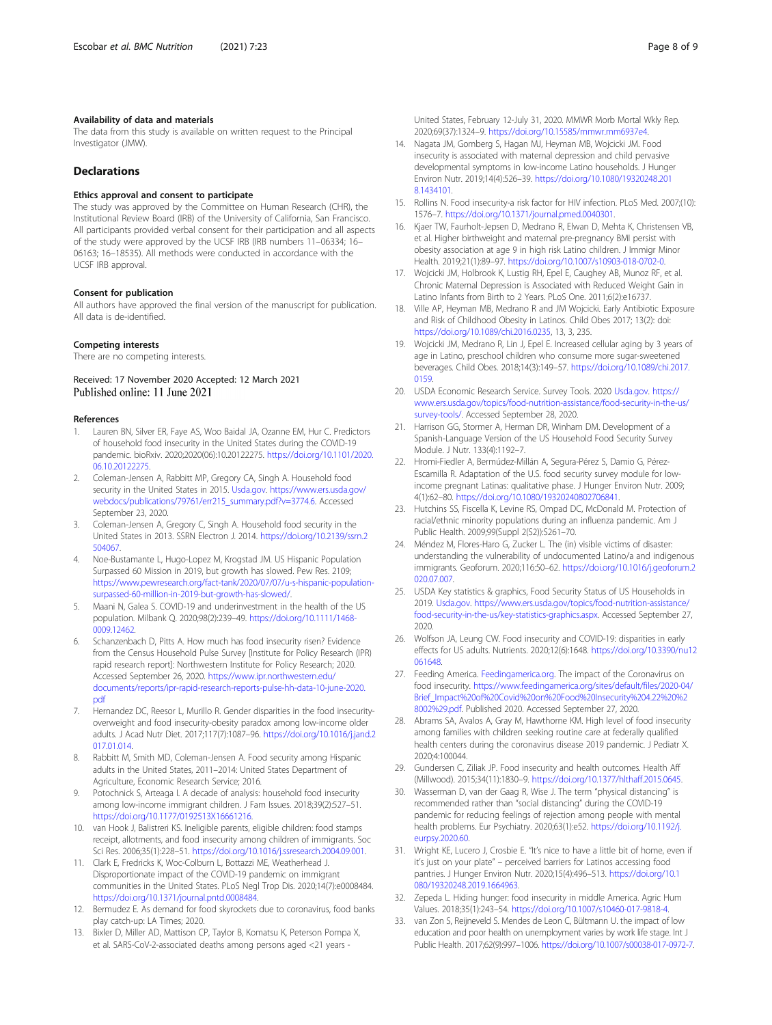# <span id="page-7-0"></span>Availability of data and materials

The data from this study is available on written request to the Principal Investigator (JMW).

# Declarations

# Ethics approval and consent to participate

The study was approved by the Committee on Human Research (CHR), the Institutional Review Board (IRB) of the University of California, San Francisco. All participants provided verbal consent for their participation and all aspects of the study were approved by the UCSF IRB (IRB numbers 11–06334; 16– 06163; 16–18535). All methods were conducted in accordance with the UCSF IRB approval.

### Consent for publication

All authors have approved the final version of the manuscript for publication. All data is de-identified.

# Competing interests

There are no competing interests.

# Received: 17 November 2020 Accepted: 12 March 2021 Published online: 11 June 2021

### References

- 1. Lauren BN, Silver ER, Faye AS, Woo Baidal JA, Ozanne EM, Hur C. Predictors of household food insecurity in the United States during the COVID-19 pandemic. bioRxiv. 2020;2020(06):10.20122275. [https://doi.org/10.1101/2020.](https://doi.org/10.1101/2020.06.10.20122275) [06.10.20122275](https://doi.org/10.1101/2020.06.10.20122275).
- 2. Coleman-Jensen A, Rabbitt MP, Gregory CA, Singh A. Household food security in the United States in 2015. [Usda.gov](http://usda.gov). [https://www.ers.usda.gov/](https://www.ers.usda.gov/webdocs/publications/79761/err215_summary.pdf?v=3774.6) [webdocs/publications/79761/err215\\_summary.pdf?v=3774.6](https://www.ers.usda.gov/webdocs/publications/79761/err215_summary.pdf?v=3774.6). Accessed September 23, 2020.
- 3. Coleman-Jensen A, Gregory C, Singh A. Household food security in the United States in 2013. SSRN Electron J. 2014. [https://doi.org/10.2139/ssrn.2](https://doi.org/10.2139/ssrn.2504067) [504067](https://doi.org/10.2139/ssrn.2504067).
- 4. Noe-Bustamante L, Hugo-Lopez M, Krogstad JM. US Hispanic Population Surpassed 60 Mission in 2019, but growth has slowed. Pew Res. 2109; [https://www.pewresearch.org/fact-tank/2020/07/07/u-s-hispanic-population](https://www.pewresearch.org/fact-tank/2020/07/07/u-s-hispanic-population-surpassed-60-million-in-2019-but-growth-has-slowed/)[surpassed-60-million-in-2019-but-growth-has-slowed/.](https://www.pewresearch.org/fact-tank/2020/07/07/u-s-hispanic-population-surpassed-60-million-in-2019-but-growth-has-slowed/)
- 5. Maani N, Galea S. COVID-19 and underinvestment in the health of the US population. Milbank Q. 2020;98(2):239–49. [https://doi.org/10.1111/1468-](https://doi.org/10.1111/1468-0009.12462) 0009.12462
- 6. Schanzenbach D, Pitts A. How much has food insecurity risen? Evidence from the Census Household Pulse Survey [Institute for Policy Research (IPR) rapid research report]: Northwestern Institute for Policy Research; 2020. Accessed September 26, 2020. [https://www.ipr.northwestern.edu/](https://www.ipr.northwestern.edu/documents/reports/ipr-rapid-research-reports-pulse-hh-data-10-june-2020.pdf) [documents/reports/ipr-rapid-research-reports-pulse-hh-data-10-june-2020.](https://www.ipr.northwestern.edu/documents/reports/ipr-rapid-research-reports-pulse-hh-data-10-june-2020.pdf) [pdf](https://www.ipr.northwestern.edu/documents/reports/ipr-rapid-research-reports-pulse-hh-data-10-june-2020.pdf)
- 7. Hernandez DC, Reesor L, Murillo R. Gender disparities in the food insecurityoverweight and food insecurity-obesity paradox among low-income older adults. J Acad Nutr Diet. 2017;117(7):1087–96. [https://doi.org/10.1016/j.jand.2](https://doi.org/10.1016/j.jand.2017.01.014) [017.01.014](https://doi.org/10.1016/j.jand.2017.01.014).
- 8. Rabbitt M, Smith MD, Coleman-Jensen A. Food security among Hispanic adults in the United States, 2011–2014: United States Department of Agriculture, Economic Research Service; 2016.
- Potochnick S, Arteaga I. A decade of analysis: household food insecurity among low-income immigrant children. J Fam Issues. 2018;39(2):527–51. [https://doi.org/10.1177/0192513X16661216.](https://doi.org/10.1177/0192513X16661216)
- 10. van Hook J, Balistreri KS. Ineligible parents, eligible children: food stamps receipt, allotments, and food insecurity among children of immigrants. Soc Sci Res. 2006;35(1):228–51. [https://doi.org/10.1016/j.ssresearch.2004.09.001.](https://doi.org/10.1016/j.ssresearch.2004.09.001)
- 11. Clark E, Fredricks K, Woc-Colburn L, Bottazzi ME, Weatherhead J. Disproportionate impact of the COVID-19 pandemic on immigrant communities in the United States. PLoS Negl Trop Dis. 2020;14(7):e0008484. <https://doi.org/10.1371/journal.pntd.0008484>.
- 12. Bermudez E. As demand for food skyrockets due to coronavirus, food banks play catch-up: LA Times; 2020.
- 13. Bixler D, Miller AD, Mattison CP, Taylor B, Komatsu K, Peterson Pompa X, et al. SARS-CoV-2-associated deaths among persons aged <21 years -

United States, February 12-July 31, 2020. MMWR Morb Mortal Wkly Rep. 2020;69(37):1324–9. [https://doi.org/10.15585/mmwr.mm6937e4.](https://doi.org/10.15585/mmwr.mm6937e4)

- 14. Nagata JM, Gomberg S, Hagan MJ, Heyman MB, Wojcicki JM. Food insecurity is associated with maternal depression and child pervasive developmental symptoms in low-income Latino households. J Hunger Environ Nutr. 2019;14(4):526–39. [https://doi.org/10.1080/19320248.201](https://doi.org/10.1080/19320248.2018.1434101) [8.1434101](https://doi.org/10.1080/19320248.2018.1434101).
- 15. Rollins N. Food insecurity-a risk factor for HIV infection. PLoS Med. 2007;(10): 1576–7. [https://doi.org/10.1371/journal.pmed.0040301.](https://doi.org/10.1371/journal.pmed.0040301)
- 16. Kjaer TW, Faurholt-Jepsen D, Medrano R, Elwan D, Mehta K, Christensen VB, et al. Higher birthweight and maternal pre-pregnancy BMI persist with obesity association at age 9 in high risk Latino children. J Immigr Minor Health. 2019;21(1):89–97. <https://doi.org/10.1007/s10903-018-0702-0>.
- 17. Wojcicki JM, Holbrook K, Lustig RH, Epel E, Caughey AB, Munoz RF, et al. Chronic Maternal Depression is Associated with Reduced Weight Gain in Latino Infants from Birth to 2 Years. PLoS One. 2011;6(2):e16737.
- 18. Ville AP, Heyman MB, Medrano R and JM Wojcicki. Early Antibiotic Exposure and Risk of Childhood Obesity in Latinos. Child Obes 2017; 13(2): doi: [https://doi.org/10.1089/chi.2016.0235,](https://doi.org/10.1089/chi.2016.0235) 13, 3, 235.
- 19. Wojcicki JM, Medrano R, Lin J, Epel E. Increased cellular aging by 3 years of age in Latino, preschool children who consume more sugar-sweetened beverages. Child Obes. 2018;14(3):149–57. [https://doi.org/10.1089/chi.2017.](https://doi.org/10.1089/chi.2017.0159) [0159](https://doi.org/10.1089/chi.2017.0159).
- 20. USDA Economic Research Service. Survey Tools. 2020 [Usda.gov](http://usda.gov). [https://](https://www.ers.usda.gov/topics/food-nutrition-assistance/food-security-in-the-us/survey-tools/) [www.ers.usda.gov/topics/food-nutrition-assistance/food-security-in-the-us/](https://www.ers.usda.gov/topics/food-nutrition-assistance/food-security-in-the-us/survey-tools/) [survey-tools/](https://www.ers.usda.gov/topics/food-nutrition-assistance/food-security-in-the-us/survey-tools/). Accessed September 28, 2020.
- 21. Harrison GG, Stormer A, Herman DR, Winham DM. Development of a Spanish-Language Version of the US Household Food Security Survey Module. J Nutr. 133(4):1192–7.
- 22. Hromi-Fiedler A, Bermúdez-Millán A, Segura-Pérez S, Damio G, Pérez-Escamilla R. Adaptation of the U.S. food security survey module for lowincome pregnant Latinas: qualitative phase. J Hunger Environ Nutr. 2009; 4(1):62–80. <https://doi.org/10.1080/19320240802706841>.
- 23. Hutchins SS, Fiscella K, Levine RS, Ompad DC, McDonald M. Protection of racial/ethnic minority populations during an influenza pandemic. Am J Public Health. 2009;99(Suppl 2(S2)):S261–70.
- 24. Méndez M, Flores-Haro G, Zucker L. The (in) visible victims of disaster: understanding the vulnerability of undocumented Latino/a and indigenous immigrants. Geoforum. 2020;116:50–62. [https://doi.org/10.1016/j.geoforum.2](https://doi.org/10.1016/j.geoforum.2020.07.007) [020.07.007](https://doi.org/10.1016/j.geoforum.2020.07.007).
- 25. USDA Key statistics & graphics, Food Security Status of US Households in 2019. [Usda.gov.](http://usda.gov) [https://www.ers.usda.gov/topics/food-nutrition-assistance/](https://www.ers.usda.gov/topics/food-nutrition-assistance/food-security-in-the-us/key-statistics-graphics.aspx) [food-security-in-the-us/key-statistics-graphics.aspx](https://www.ers.usda.gov/topics/food-nutrition-assistance/food-security-in-the-us/key-statistics-graphics.aspx). Accessed September 27, 2020.
- 26. Wolfson JA, Leung CW. Food insecurity and COVID-19: disparities in early effects for US adults. Nutrients. 2020;12(6):1648. [https://doi.org/10.3390/nu12](https://doi.org/10.3390/nu12061648) [061648](https://doi.org/10.3390/nu12061648).
- 27. Feeding America. [Feedingamerica.org.](http://feedingamerica.org) The impact of the Coronavirus on food insecurity. [https://www.feedingamerica.org/sites/default/files/2020-04/](https://www.feedingamerica.org/sites/default/files/2020-04/Brief_Impact%20of%20Covid%20on%20Food%20Insecurity%204.22%20%28002%29.pdf) [Brief\\_Impact%20of%20Covid%20on%20Food%20Insecurity%204.22%20%2](https://www.feedingamerica.org/sites/default/files/2020-04/Brief_Impact%20of%20Covid%20on%20Food%20Insecurity%204.22%20%28002%29.pdf) [8002%29.pdf](https://www.feedingamerica.org/sites/default/files/2020-04/Brief_Impact%20of%20Covid%20on%20Food%20Insecurity%204.22%20%28002%29.pdf). Published 2020. Accessed September 27, 2020.
- 28. Abrams SA, Avalos A, Gray M, Hawthorne KM. High level of food insecurity among families with children seeking routine care at federally qualified health centers during the coronavirus disease 2019 pandemic. J Pediatr X. 2020;4:100044.
- 29. Gundersen C, Ziliak JP. Food insecurity and health outcomes. Health Aff (Millwood). 2015;34(11):1830–9. [https://doi.org/10.1377/hlthaff.2015.0645.](https://doi.org/10.1377/hlthaff.2015.0645)
- 30. Wasserman D, van der Gaag R, Wise J. The term "physical distancing" is recommended rather than "social distancing" during the COVID-19 pandemic for reducing feelings of rejection among people with mental health problems. Eur Psychiatry. 2020;63(1):e52. [https://doi.org/10.1192/j.](https://doi.org/10.1192/j.eurpsy.2020.60) [eurpsy.2020.60](https://doi.org/10.1192/j.eurpsy.2020.60).
- 31. Wright KE, Lucero J, Crosbie E. "It's nice to have a little bit of home, even if it's just on your plate" – perceived barriers for Latinos accessing food pantries. J Hunger Environ Nutr. 2020;15(4):496–513. [https://doi.org/10.1](https://doi.org/10.1080/19320248.2019.1664963) [080/19320248.2019.1664963.](https://doi.org/10.1080/19320248.2019.1664963)
- 32. Zepeda L. Hiding hunger: food insecurity in middle America. Agric Hum Values. 2018;35(1):243–54. <https://doi.org/10.1007/s10460-017-9818-4>.
- 33. van Zon S, Reijneveld S. Mendes de Leon C, Bültmann U. the impact of low education and poor health on unemployment varies by work life stage. Int J Public Health. 2017;62(9):997–1006. [https://doi.org/10.1007/s00038-017-0972-7.](https://doi.org/10.1007/s00038-017-0972-7)